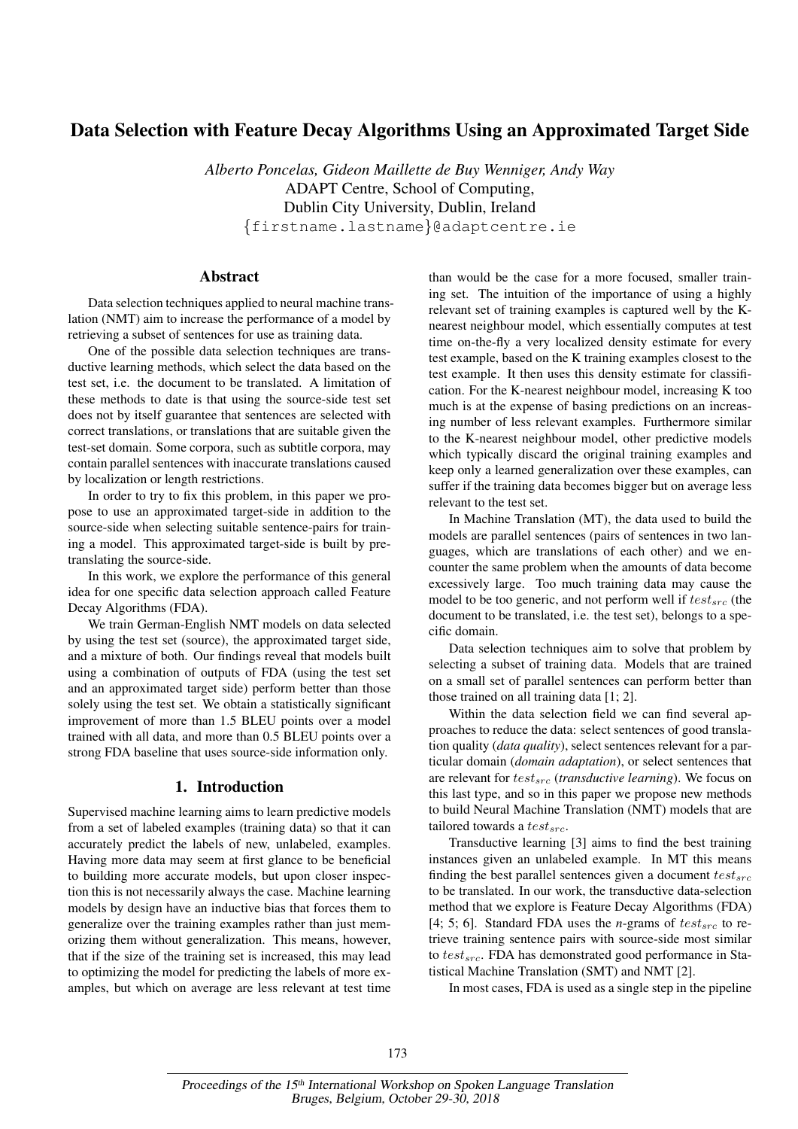# Data Selection with Feature Decay Algorithms Using an Approximated Target Side

*Alberto Poncelas, Gideon Maillette de Buy Wenniger, Andy Way* ADAPT Centre, School of Computing, Dublin City University, Dublin, Ireland {firstname.lastname}@adaptcentre.ie

# Abstract

Data selection techniques applied to neural machine translation (NMT) aim to increase the performance of a model by retrieving a subset of sentences for use as training data.

One of the possible data selection techniques are transductive learning methods, which select the data based on the test set, i.e. the document to be translated. A limitation of these methods to date is that using the source-side test set does not by itself guarantee that sentences are selected with correct translations, or translations that are suitable given the test-set domain. Some corpora, such as subtitle corpora, may contain parallel sentences with inaccurate translations caused by localization or length restrictions.

In order to try to fix this problem, in this paper we propose to use an approximated target-side in addition to the source-side when selecting suitable sentence-pairs for training a model. This approximated target-side is built by pretranslating the source-side.

In this work, we explore the performance of this general idea for one specific data selection approach called Feature Decay Algorithms (FDA).

We train German-English NMT models on data selected by using the test set (source), the approximated target side, and a mixture of both. Our findings reveal that models built using a combination of outputs of FDA (using the test set and an approximated target side) perform better than those solely using the test set. We obtain a statistically significant improvement of more than 1.5 BLEU points over a model trained with all data, and more than 0.5 BLEU points over a strong FDA baseline that uses source-side information only.

### 1. Introduction

Supervised machine learning aims to learn predictive models from a set of labeled examples (training data) so that it can accurately predict the labels of new, unlabeled, examples. Having more data may seem at first glance to be beneficial to building more accurate models, but upon closer inspection this is not necessarily always the case. Machine learning models by design have an inductive bias that forces them to generalize over the training examples rather than just memorizing them without generalization. This means, however, that if the size of the training set is increased, this may lead to optimizing the model for predicting the labels of more examples, but which on average are less relevant at test time

than would be the case for a more focused, smaller training set. The intuition of the importance of using a highly relevant set of training examples is captured well by the Knearest neighbour model, which essentially computes at test time on-the-fly a very localized density estimate for every test example, based on the K training examples closest to the test example. It then uses this density estimate for classification. For the K-nearest neighbour model, increasing K too much is at the expense of basing predictions on an increasing number of less relevant examples. Furthermore similar to the K-nearest neighbour model, other predictive models which typically discard the original training examples and keep only a learned generalization over these examples, can suffer if the training data becomes bigger but on average less relevant to the test set.

In Machine Translation (MT), the data used to build the models are parallel sentences (pairs of sentences in two languages, which are translations of each other) and we encounter the same problem when the amounts of data become excessively large. Too much training data may cause the model to be too generic, and not perform well if  $test_{src}$  (the document to be translated, i.e. the test set), belongs to a specific domain.

Data selection techniques aim to solve that problem by selecting a subset of training data. Models that are trained on a small set of parallel sentences can perform better than those trained on all training data [1; 2].

Within the data selection field we can find several approaches to reduce the data: select sentences of good translation quality (*data quality*), select sentences relevant for a particular domain (*domain adaptation*), or select sentences that are relevant for  $test_{src}$  (*transductive learning*). We focus on this last type, and so in this paper we propose new methods to build Neural Machine Translation (NMT) models that are tailored towards a  $test_{src}$ .

Transductive learning [3] aims to find the best training instances given an unlabeled example. In MT this means finding the best parallel sentences given a document  $test_{src}$ to be translated. In our work, the transductive data-selection method that we explore is Feature Decay Algorithms (FDA) [4; 5; 6]. Standard FDA uses the *n*-grams of  $test_{src}$  to retrieve training sentence pairs with source-side most similar to  $test_{src}$ . FDA has demonstrated good performance in Statistical Machine Translation (SMT) and NMT [2].

In most cases, FDA is used as a single step in the pipeline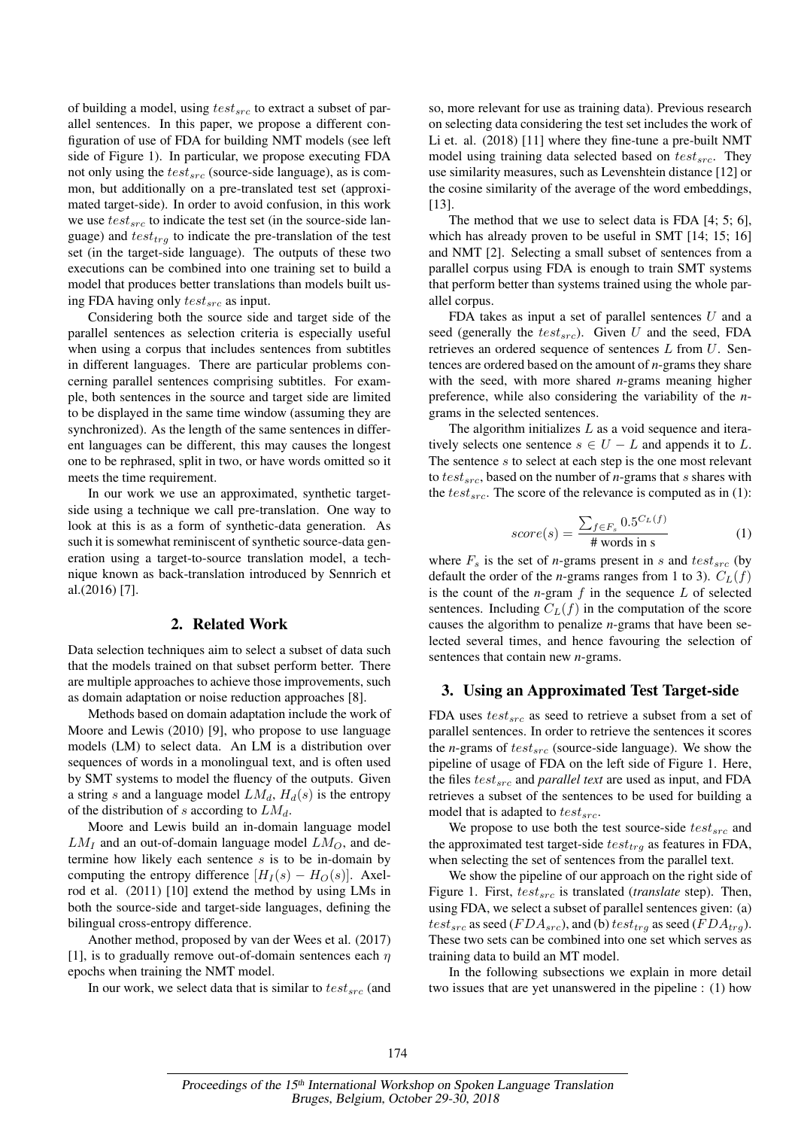of building a model, using  $test_{src}$  to extract a subset of parallel sentences. In this paper, we propose a different configuration of use of FDA for building NMT models (see left side of Figure 1). In particular, we propose executing FDA not only using the  $test_{src}$  (source-side language), as is common, but additionally on a pre-translated test set (approximated target-side). In order to avoid confusion, in this work we use  $test_{src}$  to indicate the test set (in the source-side language) and  $test_{trg}$  to indicate the pre-translation of the test set (in the target-side language). The outputs of these two executions can be combined into one training set to build a model that produces better translations than models built using FDA having only  $test_{src}$  as input.

Considering both the source side and target side of the parallel sentences as selection criteria is especially useful when using a corpus that includes sentences from subtitles in different languages. There are particular problems concerning parallel sentences comprising subtitles. For example, both sentences in the source and target side are limited to be displayed in the same time window (assuming they are synchronized). As the length of the same sentences in different languages can be different, this may causes the longest one to be rephrased, split in two, or have words omitted so it meets the time requirement.

In our work we use an approximated, synthetic targetside using a technique we call pre-translation. One way to look at this is as a form of synthetic-data generation. As such it is somewhat reminiscent of synthetic source-data generation using a target-to-source translation model, a technique known as back-translation introduced by Sennrich et al.(2016) [7].

#### 2. Related Work

Data selection techniques aim to select a subset of data such that the models trained on that subset perform better. There are multiple approaches to achieve those improvements, such as domain adaptation or noise reduction approaches [8].

Methods based on domain adaptation include the work of Moore and Lewis (2010) [9], who propose to use language models (LM) to select data. An LM is a distribution over sequences of words in a monolingual text, and is often used by SMT systems to model the fluency of the outputs. Given a string s and a language model  $LM_d$ ,  $H_d(s)$  is the entropy of the distribution of s according to  $LM_d$ .

Moore and Lewis build an in-domain language model  $LM_I$  and an out-of-domain language model  $LM_O$ , and determine how likely each sentence  $s$  is to be in-domain by computing the entropy difference  $[H_I(s) - H_O(s)]$ . Axelrod et al. (2011) [10] extend the method by using LMs in both the source-side and target-side languages, defining the bilingual cross-entropy difference.

Another method, proposed by van der Wees et al. (2017) [1], is to gradually remove out-of-domain sentences each  $\eta$ epochs when training the NMT model.

In our work, we select data that is similar to  $test_{src}$  (and

so, more relevant for use as training data). Previous research on selecting data considering the test set includes the work of Li et. al. (2018) [11] where they fine-tune a pre-built NMT model using training data selected based on  $test_{src}$ . They use similarity measures, such as Levenshtein distance [12] or the cosine similarity of the average of the word embeddings, [13].

The method that we use to select data is FDA [4; 5; 6], which has already proven to be useful in SMT [14; 15; 16] and NMT [2]. Selecting a small subset of sentences from a parallel corpus using FDA is enough to train SMT systems that perform better than systems trained using the whole parallel corpus.

FDA takes as input a set of parallel sentences  $U$  and a seed (generally the  $test_{src}$ ). Given U and the seed, FDA retrieves an ordered sequence of sentences L from U. Sentences are ordered based on the amount of *n*-grams they share with the seed, with more shared *n*-grams meaning higher preference, while also considering the variability of the *n*grams in the selected sentences.

The algorithm initializes  $L$  as a void sequence and iteratively selects one sentence  $s \in U - L$  and appends it to L. The sentence  $s$  to select at each step is the one most relevant to  $test_{src}$ , based on the number of *n*-grams that *s* shares with the  $test_{src}$ . The score of the relevance is computed as in (1):

$$
score(s) = \frac{\sum_{f \in F_s} 0.5^{C_L(f)}}{\text{# words in s}}
$$
(1)

where  $F_s$  is the set of *n*-grams present in s and  $test_{src}$  (by default the order of the *n*-grams ranges from 1 to 3).  $C_L(f)$ is the count of the  $n$ -gram  $f$  in the sequence  $L$  of selected sentences. Including  $C_L(f)$  in the computation of the score causes the algorithm to penalize *n*-grams that have been selected several times, and hence favouring the selection of sentences that contain new *n*-grams.

### 3. Using an Approximated Test Target-side

FDA uses  $test_{src}$  as seed to retrieve a subset from a set of parallel sentences. In order to retrieve the sentences it scores the *n*-grams of  $test_{src}$  (source-side language). We show the pipeline of usage of FDA on the left side of Figure 1. Here, the files  $test_{src}$  and *parallel text* are used as input, and FDA retrieves a subset of the sentences to be used for building a model that is adapted to  $test_{src}$ .

We propose to use both the test source-side  $test_{src}$  and the approximated test target-side  $test_{trg}$  as features in FDA, when selecting the set of sentences from the parallel text.

We show the pipeline of our approach on the right side of Figure 1. First,  $test_{src}$  is translated (*translate* step). Then, using FDA, we select a subset of parallel sentences given: (a)  $test_{src}$  as seed ( $FDA_{src}$ ), and (b)  $test_{trq}$  as seed ( $FDA_{trq}$ ). These two sets can be combined into one set which serves as training data to build an MT model.

In the following subsections we explain in more detail two issues that are yet unanswered in the pipeline : (1) how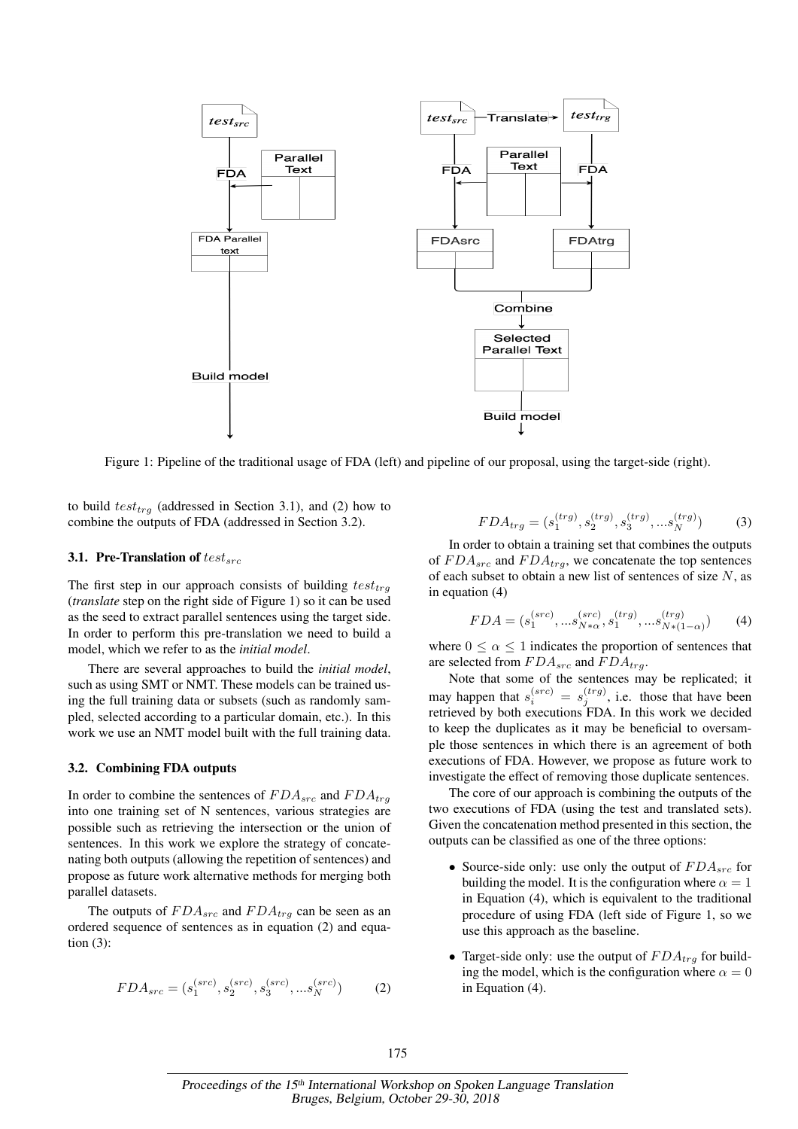

Figure 1: Pipeline of the traditional usage of FDA (left) and pipeline of our proposal, using the target-side (right).

to build  $test_{trg}$  (addressed in Section 3.1), and (2) how to combine the outputs of FDA (addressed in Section 3.2).

#### 3.1. Pre-Translation of  $test_{src}$

The first step in our approach consists of building  $test_{tra}$ (*translate* step on the right side of Figure 1) so it can be used as the seed to extract parallel sentences using the target side. In order to perform this pre-translation we need to build a model, which we refer to as the *initial model*.

There are several approaches to build the *initial model*, such as using SMT or NMT. These models can be trained using the full training data or subsets (such as randomly sampled, selected according to a particular domain, etc.). In this work we use an NMT model built with the full training data.

#### 3.2. Combining FDA outputs

In order to combine the sentences of  $FDA_{src}$  and  $FDA_{trg}$ into one training set of N sentences, various strategies are possible such as retrieving the intersection or the union of sentences. In this work we explore the strategy of concatenating both outputs (allowing the repetition of sentences) and propose as future work alternative methods for merging both parallel datasets.

The outputs of  $FDA_{src}$  and  $FDA_{trg}$  can be seen as an ordered sequence of sentences as in equation (2) and equation (3):

$$
FDA_{src} = (s_1^{(src)}, s_2^{(src)}, s_3^{(src)}, \dots s_N^{(src)})
$$
 (2)

$$
FDA_{trg} = (s_1^{(trg)}, s_2^{(trg)}, s_3^{(trg)}, \dots s_N^{(trg)})
$$
(3)

In order to obtain a training set that combines the outputs of  $FDA_{src}$  and  $FDA_{trg}$ , we concatenate the top sentences of each subset to obtain a new list of sentences of size  $N$ , as in equation (4)

$$
FDA = (s_1^{(src)}, \dots s_{N*\alpha}^{(src)}, s_1^{(trg)}, \dots s_{N*(1-\alpha)}^{(trg)})
$$
(4)

where  $0 \le \alpha \le 1$  indicates the proportion of sentences that are selected from  $FDA_{src}$  and  $FDA_{trq}$ .

Note that some of the sentences may be replicated; it may happen that  $s_i^{(src)} = s_j^{(trg)}$ , i.e. those that have been retrieved by both executions FDA. In this work we decided to keep the duplicates as it may be beneficial to oversample those sentences in which there is an agreement of both executions of FDA. However, we propose as future work to investigate the effect of removing those duplicate sentences.

The core of our approach is combining the outputs of the two executions of FDA (using the test and translated sets). Given the concatenation method presented in this section, the outputs can be classified as one of the three options:

- Source-side only: use only the output of  $FDA_{src}$  for building the model. It is the configuration where  $\alpha = 1$ in Equation (4), which is equivalent to the traditional procedure of using FDA (left side of Figure 1, so we use this approach as the baseline.
- Target-side only: use the output of  $FDA_{tra}$  for building the model, which is the configuration where  $\alpha = 0$ in Equation (4).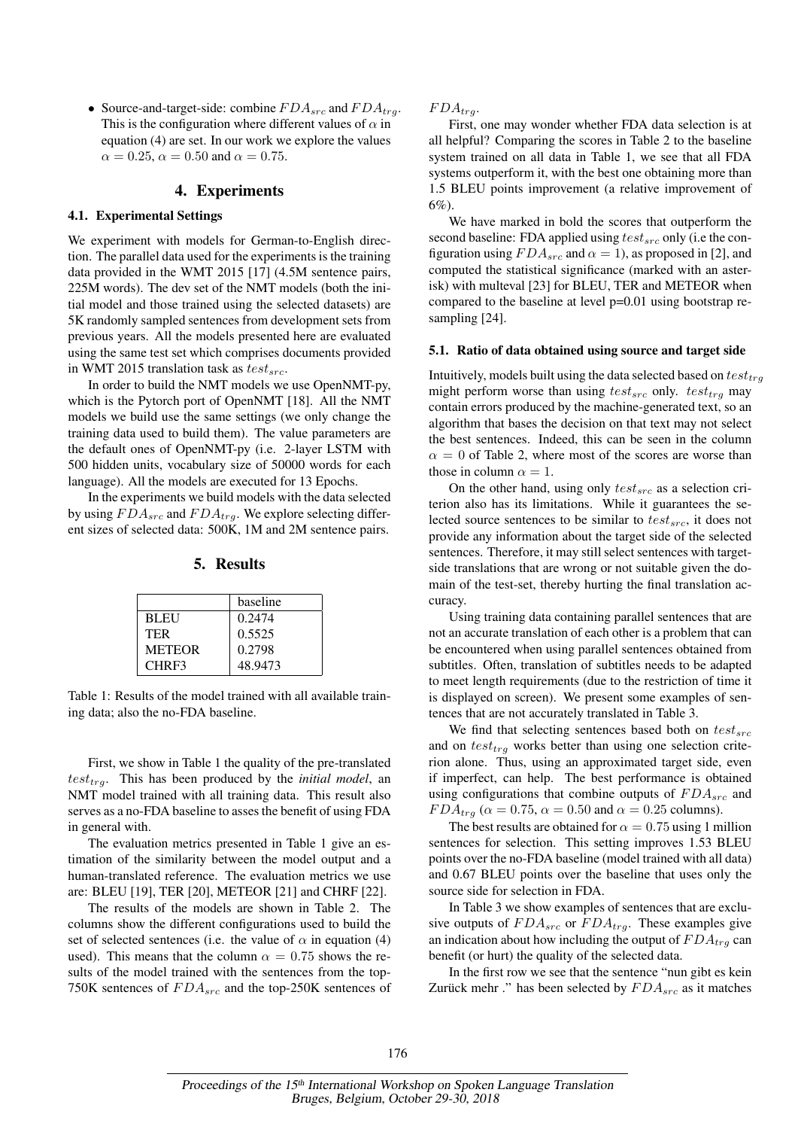• Source-and-target-side: combine  $FDA_{src}$  and  $FDA_{tra}$ . This is the configuration where different values of  $\alpha$  in equation (4) are set. In our work we explore the values  $\alpha = 0.25$ ,  $\alpha = 0.50$  and  $\alpha = 0.75$ .

# 4. Experiments

### 4.1. Experimental Settings

We experiment with models for German-to-English direction. The parallel data used for the experiments is the training data provided in the WMT 2015 [17] (4.5M sentence pairs, 225M words). The dev set of the NMT models (both the initial model and those trained using the selected datasets) are 5K randomly sampled sentences from development sets from previous years. All the models presented here are evaluated using the same test set which comprises documents provided in WMT 2015 translation task as  $test_{src}$ .

In order to build the NMT models we use OpenNMT-py, which is the Pytorch port of OpenNMT [18]. All the NMT models we build use the same settings (we only change the training data used to build them). The value parameters are the default ones of OpenNMT-py (i.e. 2-layer LSTM with 500 hidden units, vocabulary size of 50000 words for each language). All the models are executed for 13 Epochs.

In the experiments we build models with the data selected by using  $FDA_{src}$  and  $FDA_{trg}$ . We explore selecting different sizes of selected data: 500K, 1M and 2M sentence pairs.

### 5. Results

|               | baseline |
|---------------|----------|
| <b>BLEU</b>   | 0.2474   |
| <b>TER</b>    | 0.5525   |
| <b>METEOR</b> | 0.2798   |
| CHRF3         | 48.9473  |

Table 1: Results of the model trained with all available training data; also the no-FDA baseline.

First, we show in Table 1 the quality of the pre-translated  $test_{trq}$ . This has been produced by the *initial model*, an NMT model trained with all training data. This result also serves as a no-FDA baseline to asses the benefit of using FDA in general with.

The evaluation metrics presented in Table 1 give an estimation of the similarity between the model output and a human-translated reference. The evaluation metrics we use are: BLEU [19], TER [20], METEOR [21] and CHRF [22].

The results of the models are shown in Table 2. The columns show the different configurations used to build the set of selected sentences (i.e. the value of  $\alpha$  in equation (4) used). This means that the column  $\alpha = 0.75$  shows the results of the model trained with the sentences from the top-750K sentences of  $FDA_{src}$  and the top-250K sentences of  $FDA_{trq}$ .

First, one may wonder whether FDA data selection is at all helpful? Comparing the scores in Table 2 to the baseline system trained on all data in Table 1, we see that all FDA systems outperform it, with the best one obtaining more than 1.5 BLEU points improvement (a relative improvement of 6%).

We have marked in bold the scores that outperform the second baseline: FDA applied using  $test_{src}$  only (i.e the configuration using  $FDA_{src}$  and  $\alpha = 1$ ), as proposed in [2], and computed the statistical significance (marked with an asterisk) with multeval [23] for BLEU, TER and METEOR when compared to the baseline at level p=0.01 using bootstrap resampling [24].

#### 5.1. Ratio of data obtained using source and target side

Intuitively, models built using the data selected based on  $test_{trg}$ might perform worse than using  $test_{src}$  only.  $test_{trg}$  may contain errors produced by the machine-generated text, so an algorithm that bases the decision on that text may not select the best sentences. Indeed, this can be seen in the column  $\alpha = 0$  of Table 2, where most of the scores are worse than those in column  $\alpha = 1$ .

On the other hand, using only  $test_{src}$  as a selection criterion also has its limitations. While it guarantees the selected source sentences to be similar to  $test_{src}$ , it does not provide any information about the target side of the selected sentences. Therefore, it may still select sentences with targetside translations that are wrong or not suitable given the domain of the test-set, thereby hurting the final translation accuracy.

Using training data containing parallel sentences that are not an accurate translation of each other is a problem that can be encountered when using parallel sentences obtained from subtitles. Often, translation of subtitles needs to be adapted to meet length requirements (due to the restriction of time it is displayed on screen). We present some examples of sentences that are not accurately translated in Table 3.

We find that selecting sentences based both on  $test_{src}$ and on  $test_{trq}$  works better than using one selection criterion alone. Thus, using an approximated target side, even if imperfect, can help. The best performance is obtained using configurations that combine outputs of  $FDA_{src}$  and  $FDA_{trg}$  ( $\alpha = 0.75$ ,  $\alpha = 0.50$  and  $\alpha = 0.25$  columns).

The best results are obtained for  $\alpha = 0.75$  using 1 million sentences for selection. This setting improves 1.53 BLEU points over the no-FDA baseline (model trained with all data) and 0.67 BLEU points over the baseline that uses only the source side for selection in FDA.

In Table 3 we show examples of sentences that are exclusive outputs of  $FDA_{src}$  or  $FDA_{trg}$ . These examples give an indication about how including the output of  $FDA<sub>tra</sub>$  can benefit (or hurt) the quality of the selected data.

In the first row we see that the sentence "nun gibt es kein Zurück mehr ." has been selected by  $FDA_{src}$  as it matches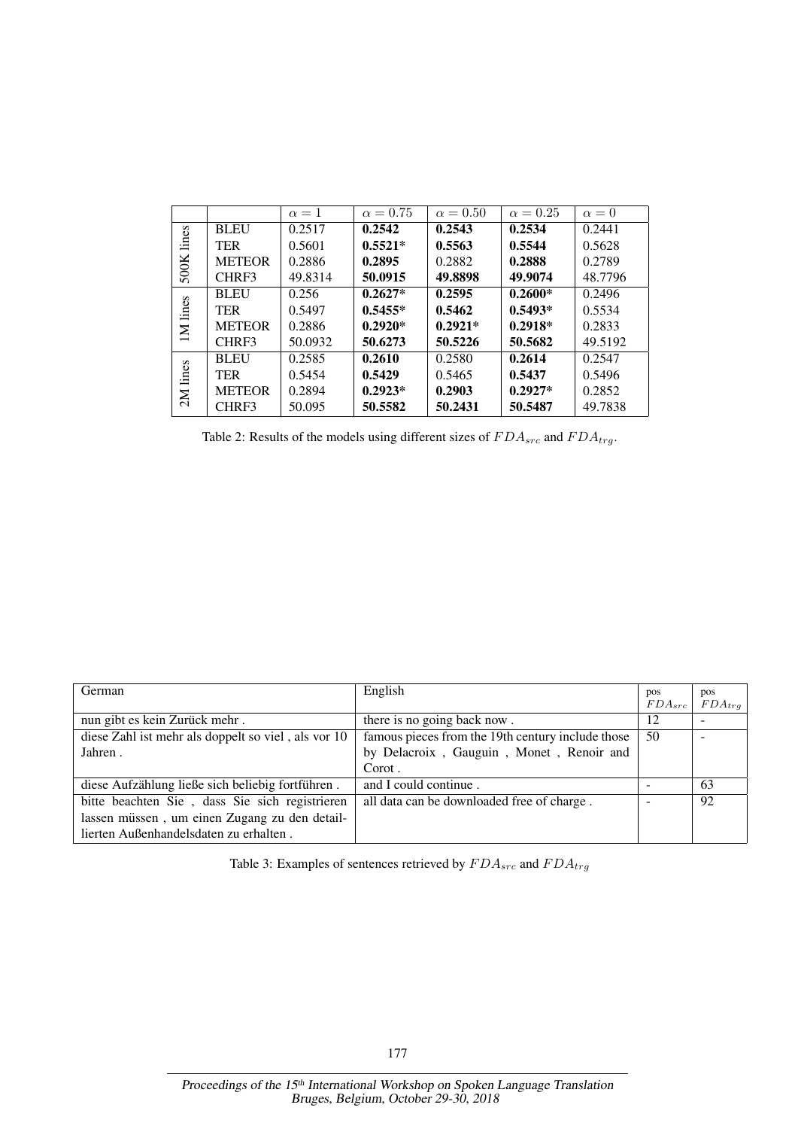|               |               | $\alpha=1$ | $\alpha = 0.75$ | $\alpha = 0.50$ | $\alpha = 0.25$ | $\alpha=0$ |
|---------------|---------------|------------|-----------------|-----------------|-----------------|------------|
| lines<br>500K | <b>BLEU</b>   | 0.2517     | 0.2542          | 0.2543          | 0.2534          | 0.2441     |
|               | <b>TER</b>    | 0.5601     | $0.5521*$       | 0.5563          | 0.5544          | 0.5628     |
|               | <b>METEOR</b> | 0.2886     | 0.2895          | 0.2882          | 0.2888          | 0.2789     |
|               | CHRF3         | 49.8314    | 50.0915         | 49.8898         | 49.9074         | 48.7796    |
| IM lines      | <b>BLEU</b>   | 0.256      | $0.2627*$       | 0.2595          | $0.2600*$       | 0.2496     |
|               | <b>TER</b>    | 0.5497     | $0.5455*$       | 0.5462          | $0.5493*$       | 0.5534     |
|               | <b>METEOR</b> | 0.2886     | $0.2920*$       | $0.2921*$       | $0.2918*$       | 0.2833     |
|               | CHRF3         | 50.0932    | 50.6273         | 50.5226         | 50.5682         | 49.5192    |
| 2M lines      | <b>BLEU</b>   | 0.2585     | 0.2610          | 0.2580          | 0.2614          | 0.2547     |
|               | <b>TER</b>    | 0.5454     | 0.5429          | 0.5465          | 0.5437          | 0.5496     |
|               | <b>METEOR</b> | 0.2894     | $0.2923*$       | 0.2903          | $0.2927*$       | 0.2852     |
|               | CHRF3         | 50.095     | 50.5582         | 50.2431         | 50.5487         | 49.7838    |

Table 2: Results of the models using different sizes of  $FDA_{src}$  and  $FDA_{trg}$ .

| German                                              | English                                           | pos         | pos         |
|-----------------------------------------------------|---------------------------------------------------|-------------|-------------|
|                                                     |                                                   | $FDA_{src}$ | $FDA_{trq}$ |
| nun gibt es kein Zurück mehr.                       | there is no going back now.                       | 12          |             |
| diese Zahl ist mehr als doppelt so viel, als vor 10 | famous pieces from the 19th century include those | 50          |             |
| Jahren.                                             | by Delacroix, Gauguin, Monet, Renoir and          |             |             |
|                                                     | Corot.                                            |             |             |
| diese Aufzählung ließe sich beliebig fortführen.    | and I could continue.                             |             | -63         |
| bitte beachten Sie, dass Sie sich registrieren      | all data can be downloaded free of charge.        |             | 92          |
| lassen müssen, um einen Zugang zu den detail-       |                                                   |             |             |
| lierten Außenhandelsdaten zu erhalten.              |                                                   |             |             |

Table 3: Examples of sentences retrieved by  $FDA_{src}$  and  $FDA_{trg}$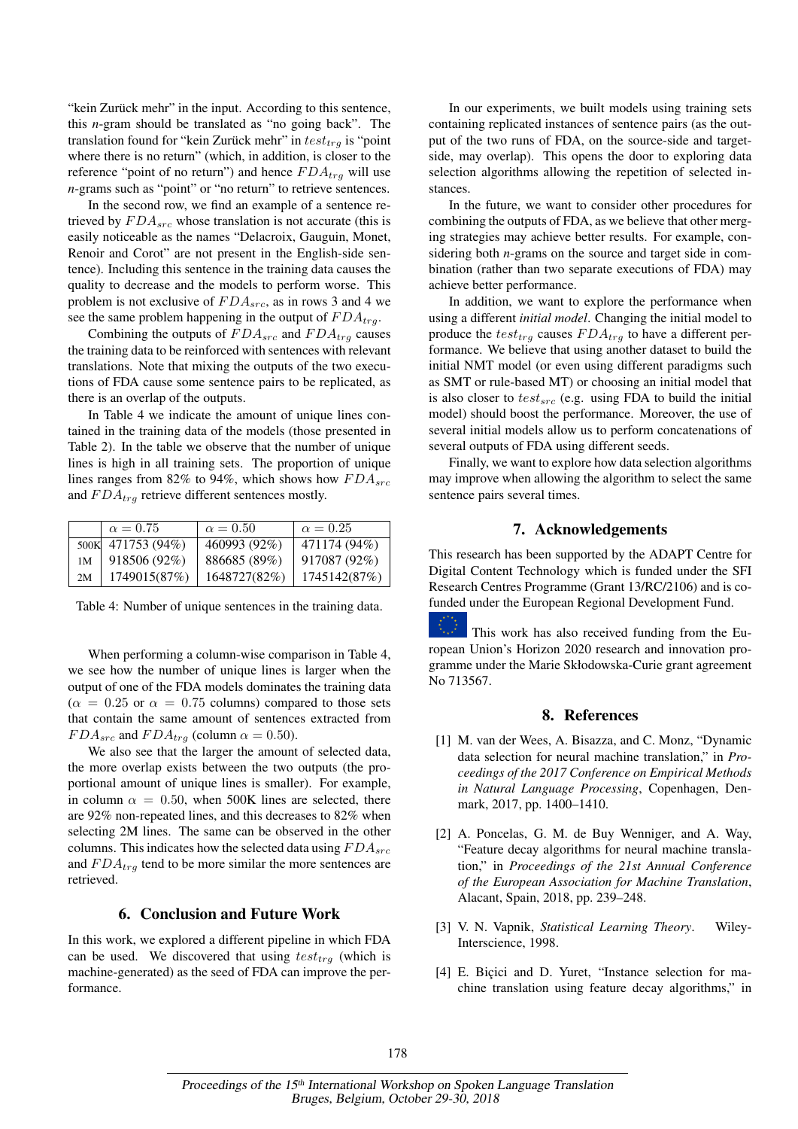"kein Zurück mehr" in the input. According to this sentence, this *n*-gram should be translated as "no going back". The translation found for "kein Zurück mehr" in  $test_{tra}$  is "point" where there is no return" (which, in addition, is closer to the reference "point of no return") and hence  $FDA_{trg}$  will use *n*-grams such as "point" or "no return" to retrieve sentences.

In the second row, we find an example of a sentence retrieved by  $FDA_{src}$  whose translation is not accurate (this is easily noticeable as the names "Delacroix, Gauguin, Monet, Renoir and Corot" are not present in the English-side sentence). Including this sentence in the training data causes the quality to decrease and the models to perform worse. This problem is not exclusive of  $FDA_{src}$ , as in rows 3 and 4 we see the same problem happening in the output of  $FDA_{tra}$ .

Combining the outputs of  $FDA_{src}$  and  $FDA_{tra}$  causes the training data to be reinforced with sentences with relevant translations. Note that mixing the outputs of the two executions of FDA cause some sentence pairs to be replicated, as there is an overlap of the outputs.

In Table 4 we indicate the amount of unique lines contained in the training data of the models (those presented in Table 2). In the table we observe that the number of unique lines is high in all training sets. The proportion of unique lines ranges from 82% to 94%, which shows how  $FDA_{src}$ and  $FDA_{trq}$  retrieve different sentences mostly.

|    | $\alpha = 0.75$   | $\alpha = 0.50$ | $\alpha = 0.25$ |
|----|-------------------|-----------------|-----------------|
|    | 500K 471753 (94%) | 460993 (92%)    | 471174 (94%)    |
| 1М | 918506 (92%)      | 886685 (89%)    | 917087 (92%)    |
| 2M | 1749015(87%)      | 1648727(82%)    | 1745142(87%)    |

Table 4: Number of unique sentences in the training data.

When performing a column-wise comparison in Table 4, we see how the number of unique lines is larger when the output of one of the FDA models dominates the training data  $(\alpha = 0.25 \text{ or } \alpha = 0.75 \text{ columns})$  compared to those sets that contain the same amount of sentences extracted from  $FDA_{src}$  and  $FDA_{trq}$  (column  $\alpha = 0.50$ ).

We also see that the larger the amount of selected data, the more overlap exists between the two outputs (the proportional amount of unique lines is smaller). For example, in column  $\alpha = 0.50$ , when 500K lines are selected, there are 92% non-repeated lines, and this decreases to 82% when selecting 2M lines. The same can be observed in the other columns. This indicates how the selected data using  $FDA_{src}$ and  $FDA_{trg}$  tend to be more similar the more sentences are retrieved.

# 6. Conclusion and Future Work

In this work, we explored a different pipeline in which FDA can be used. We discovered that using  $test_{trg}$  (which is machine-generated) as the seed of FDA can improve the performance.

In our experiments, we built models using training sets containing replicated instances of sentence pairs (as the output of the two runs of FDA, on the source-side and targetside, may overlap). This opens the door to exploring data selection algorithms allowing the repetition of selected instances.

In the future, we want to consider other procedures for combining the outputs of FDA, as we believe that other merging strategies may achieve better results. For example, considering both *n*-grams on the source and target side in combination (rather than two separate executions of FDA) may achieve better performance.

In addition, we want to explore the performance when using a different *initial model*. Changing the initial model to produce the  $test_{trq}$  causes  $FDA_{trq}$  to have a different performance. We believe that using another dataset to build the initial NMT model (or even using different paradigms such as SMT or rule-based MT) or choosing an initial model that is also closer to  $test_{src}$  (e.g. using FDA to build the initial model) should boost the performance. Moreover, the use of several initial models allow us to perform concatenations of several outputs of FDA using different seeds.

Finally, we want to explore how data selection algorithms may improve when allowing the algorithm to select the same sentence pairs several times.

## 7. Acknowledgements

This research has been supported by the ADAPT Centre for Digital Content Technology which is funded under the SFI Research Centres Programme (Grant 13/RC/2106) and is cofunded under the European Regional Development Fund.



This work has also received funding from the European Union's Horizon 2020 research and innovation programme under the Marie Skłodowska-Curie grant agreement No 713567.

## 8. References

- [1] M. van der Wees, A. Bisazza, and C. Monz, "Dynamic data selection for neural machine translation," in *Proceedings of the 2017 Conference on Empirical Methods in Natural Language Processing*, Copenhagen, Denmark, 2017, pp. 1400–1410.
- [2] A. Poncelas, G. M. de Buy Wenniger, and A. Way, "Feature decay algorithms for neural machine translation," in *Proceedings of the 21st Annual Conference of the European Association for Machine Translation*, Alacant, Spain, 2018, pp. 239–248.
- [3] V. N. Vapnik, *Statistical Learning Theory*. Wiley-Interscience, 1998.
- [4] E. Biçici and D. Yuret, "Instance selection for machine translation using feature decay algorithms," in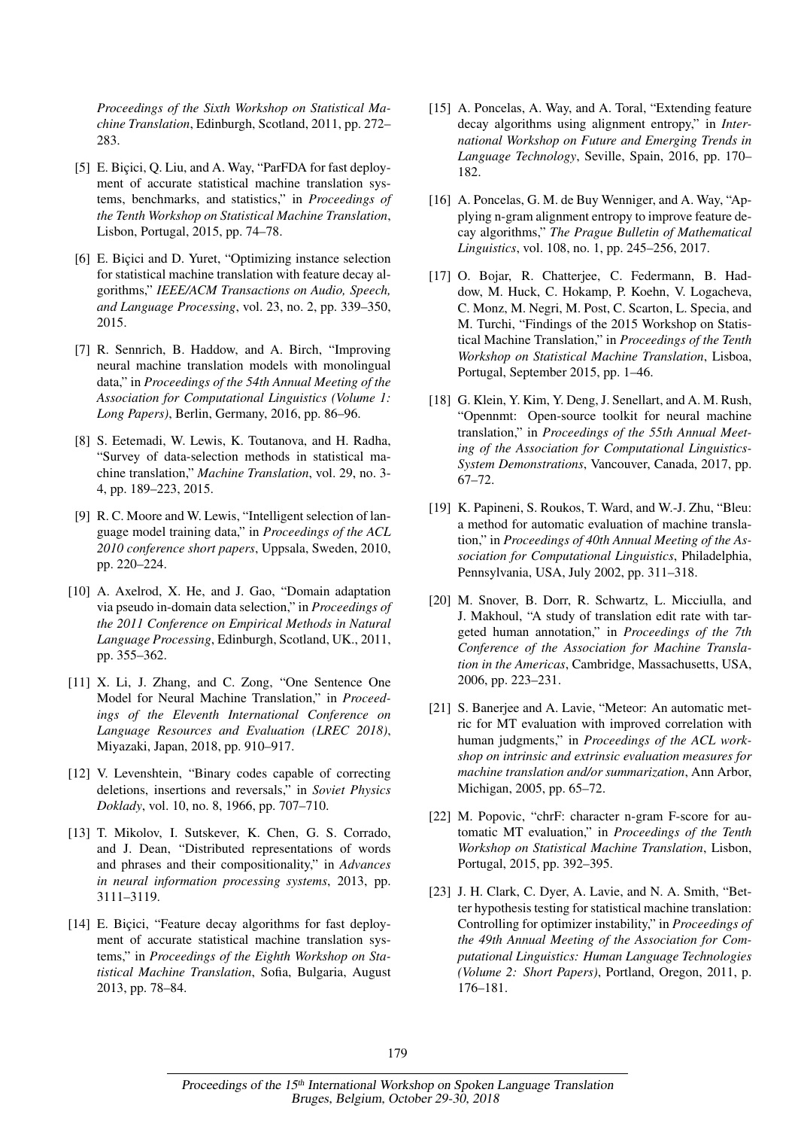*Proceedings of the Sixth Workshop on Statistical Machine Translation*, Edinburgh, Scotland, 2011, pp. 272– 283.

- [5] E. Biçici, Q. Liu, and A. Way, "ParFDA for fast deployment of accurate statistical machine translation systems, benchmarks, and statistics," in *Proceedings of the Tenth Workshop on Statistical Machine Translation*, Lisbon, Portugal, 2015, pp. 74–78.
- [6] E. Bicici and D. Yuret, "Optimizing instance selection for statistical machine translation with feature decay algorithms," *IEEE/ACM Transactions on Audio, Speech, and Language Processing*, vol. 23, no. 2, pp. 339–350, 2015.
- [7] R. Sennrich, B. Haddow, and A. Birch, "Improving neural machine translation models with monolingual data," in *Proceedings of the 54th Annual Meeting of the Association for Computational Linguistics (Volume 1: Long Papers)*, Berlin, Germany, 2016, pp. 86–96.
- [8] S. Eetemadi, W. Lewis, K. Toutanova, and H. Radha, "Survey of data-selection methods in statistical machine translation," *Machine Translation*, vol. 29, no. 3- 4, pp. 189–223, 2015.
- [9] R. C. Moore and W. Lewis, "Intelligent selection of language model training data," in *Proceedings of the ACL 2010 conference short papers*, Uppsala, Sweden, 2010, pp. 220–224.
- [10] A. Axelrod, X. He, and J. Gao, "Domain adaptation via pseudo in-domain data selection," in *Proceedings of the 2011 Conference on Empirical Methods in Natural Language Processing*, Edinburgh, Scotland, UK., 2011, pp. 355–362.
- [11] X. Li, J. Zhang, and C. Zong, "One Sentence One Model for Neural Machine Translation," in *Proceedings of the Eleventh International Conference on Language Resources and Evaluation (LREC 2018)*, Miyazaki, Japan, 2018, pp. 910–917.
- [12] V. Levenshtein, "Binary codes capable of correcting deletions, insertions and reversals," in *Soviet Physics Doklady*, vol. 10, no. 8, 1966, pp. 707–710.
- [13] T. Mikolov, I. Sutskever, K. Chen, G. S. Corrado, and J. Dean, "Distributed representations of words and phrases and their compositionality," in *Advances in neural information processing systems*, 2013, pp. 3111–3119.
- [14] E. Bicici, "Feature decay algorithms for fast deployment of accurate statistical machine translation systems," in *Proceedings of the Eighth Workshop on Statistical Machine Translation*, Sofia, Bulgaria, August 2013, pp. 78–84.
- [15] A. Poncelas, A. Way, and A. Toral, "Extending feature decay algorithms using alignment entropy," in *International Workshop on Future and Emerging Trends in Language Technology*, Seville, Spain, 2016, pp. 170– 182.
- [16] A. Poncelas, G. M. de Buy Wenniger, and A. Way, "Applying n-gram alignment entropy to improve feature decay algorithms," *The Prague Bulletin of Mathematical Linguistics*, vol. 108, no. 1, pp. 245–256, 2017.
- [17] O. Bojar, R. Chatterjee, C. Federmann, B. Haddow, M. Huck, C. Hokamp, P. Koehn, V. Logacheva, C. Monz, M. Negri, M. Post, C. Scarton, L. Specia, and M. Turchi, "Findings of the 2015 Workshop on Statistical Machine Translation," in *Proceedings of the Tenth Workshop on Statistical Machine Translation*, Lisboa, Portugal, September 2015, pp. 1–46.
- [18] G. Klein, Y. Kim, Y. Deng, J. Senellart, and A. M. Rush, "Opennmt: Open-source toolkit for neural machine translation," in *Proceedings of the 55th Annual Meeting of the Association for Computational Linguistics-System Demonstrations*, Vancouver, Canada, 2017, pp. 67–72.
- [19] K. Papineni, S. Roukos, T. Ward, and W.-J. Zhu, "Bleu: a method for automatic evaluation of machine translation," in *Proceedings of 40th Annual Meeting of the Association for Computational Linguistics*, Philadelphia, Pennsylvania, USA, July 2002, pp. 311–318.
- [20] M. Snover, B. Dorr, R. Schwartz, L. Micciulla, and J. Makhoul, "A study of translation edit rate with targeted human annotation," in *Proceedings of the 7th Conference of the Association for Machine Translation in the Americas*, Cambridge, Massachusetts, USA, 2006, pp. 223–231.
- [21] S. Banerjee and A. Lavie, "Meteor: An automatic metric for MT evaluation with improved correlation with human judgments," in *Proceedings of the ACL workshop on intrinsic and extrinsic evaluation measures for machine translation and/or summarization*, Ann Arbor, Michigan, 2005, pp. 65–72.
- [22] M. Popovic, "chrF: character n-gram F-score for automatic MT evaluation," in *Proceedings of the Tenth Workshop on Statistical Machine Translation*, Lisbon, Portugal, 2015, pp. 392–395.
- [23] J. H. Clark, C. Dyer, A. Lavie, and N. A. Smith, "Better hypothesis testing for statistical machine translation: Controlling for optimizer instability," in *Proceedings of the 49th Annual Meeting of the Association for Computational Linguistics: Human Language Technologies (Volume 2: Short Papers)*, Portland, Oregon, 2011, p. 176–181.